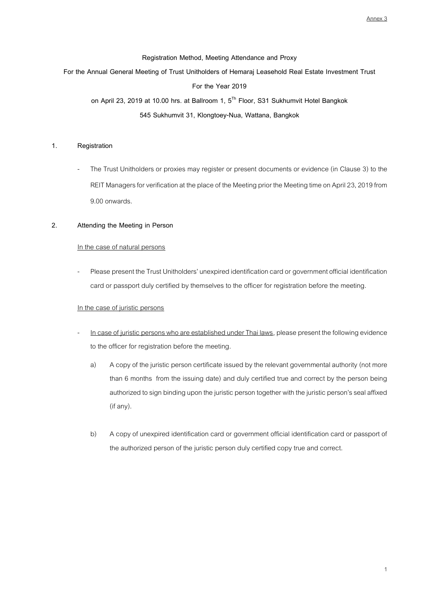### **Registration Method, Meeting Attendance and Proxy**

# **For the Annual General Meeting of Trust Unitholders of Hemaraj Leasehold Real Estate Investment Trust**

## **For the Year 2019**

**on April 23, 2019 at 10.00 hrs. at Ballroom 1, 5 Th Floor, S31 Sukhumvit Hotel Bangkok 545 Sukhumvit 31, Klongtoey-Nua, Wattana, Bangkok**

# **1. Registration**

The Trust Unitholders or proxies may register or present documents or evidence (in Clause 3) to the REIT Managers for verification at the place of the Meeting prior the Meeting time on April 23, 2019 from 9.00 onwards.

# **2. Attending the Meeting in Person**

#### In the case of natural persons

Please present the Trust Unitholders' unexpired identification card or government official identification card or passport duly certified by themselves to the officer for registration before the meeting.

# In the case of juristic persons

- In case of juristic persons who are established under Thai laws, please present the following evidence to the officer for registration before the meeting.
	- a) A copy of the juristic person certificate issued by the relevant governmental authority (not more than 6 months from the issuing date) and duly certified true and correct by the person being authorized to sign binding upon the juristic person together with the juristic person's seal affixed (if any).
	- b) A copy of unexpired identification card or government official identification card or passport of the authorized person of the juristic person duly certified copy true and correct.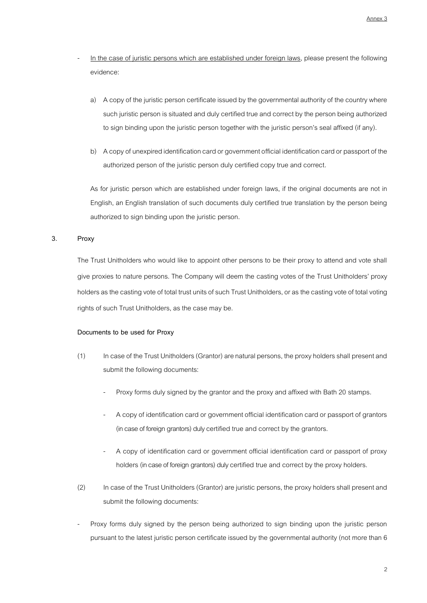- In the case of juristic persons which are established under foreign laws, please present the following evidence:
	- a) A copy of the juristic person certificate issued by the governmental authority of the country where such juristic person is situated and duly certified true and correct by the person being authorized to sign binding upon the juristic person together with the juristic person's seal affixed (if any).
	- b) A copy of unexpired identification card or government official identification card or passport of the authorized person of the juristic person duly certified copy true and correct.

As for juristic person which are established under foreign laws, if the original documents are not in English, an English translation of such documents duly certified true translation by the person being authorized to sign binding upon the juristic person.

# **3. Proxy**

The Trust Unitholders who would like to appoint other persons to be their proxy to attend and vote shall give proxies to nature persons. The Company will deem the casting votes of the Trust Unitholders' proxy holders as the casting vote of total trust units of such Trust Unitholders, or as the casting vote of total voting rights of such Trust Unitholders, as the case may be.

# **Documents to be used for Proxy**

- (1) In case of the Trust Unitholders (Grantor) are natural persons, the proxy holders shall present and submit the following documents:
	- Proxy forms duly signed by the grantor and the proxy and affixed with Bath 20 stamps.
	- A copy of identification card or government official identification card or passport of grantors (in case of foreign grantors) duly certified true and correct by the grantors.
	- A copy of identification card or government official identification card or passport of proxy holders (in case of foreign grantors) duly certified true and correct by the proxy holders.
- (2) In case of the Trust Unitholders (Grantor) are juristic persons, the proxy holders shall present and submit the following documents:
- Proxy forms duly signed by the person being authorized to sign binding upon the juristic person pursuant to the latest juristic person certificate issued by the governmental authority (not more than 6